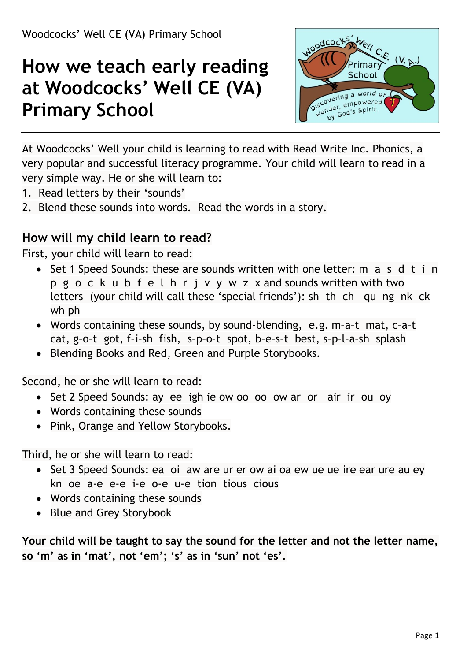# **How we teach early reading at Woodcocks' Well CE (VA) Primary School**



At Woodcocks' Well your child is learning to read with Read Write Inc. Phonics, a very popular and successful literacy programme. Your child will learn to read in a very simple way. He or she will learn to:

- 1. Read letters by their 'sounds'
- 2. Blend these sounds into words. Read the words in a story.

#### **How will my child learn to read?**

First, your child will learn to read:

- Set 1 Speed Sounds: these are sounds written with one letter: m a s d t i n p g o c k u b f e l h r j v y w z x and sounds written with two letters (your child will call these 'special friends'): sh th ch qu ng nk ck wh ph
- Words containing these sounds, by sound-blending, e.g. m–a–t mat, c–a–t cat, g–o–t got, f–i–sh fish, s–p–o–t spot, b–e–s–t best, s–p–l–a–sh splash
- Blending Books and Red, Green and Purple Storybooks.

Second, he or she will learn to read:

- Set 2 Speed Sounds: ay ee igh ie ow oo oo ow ar or air ir ou oy
- Words containing these sounds
- Pink, Orange and Yellow Storybooks.

Third, he or she will learn to read:

- Set 3 Speed Sounds: ea oi aw are ur er ow ai oa ew ue ue ire ear ure au ey kn oe a-e e-e i-e o-e u-e tion tious cious
- Words containing these sounds
- Blue and Grey Storybook

**Your child will be taught to say the sound for the letter and not the letter name, so 'm' as in 'mat', not 'em'; 's' as in 'sun' not 'es'.**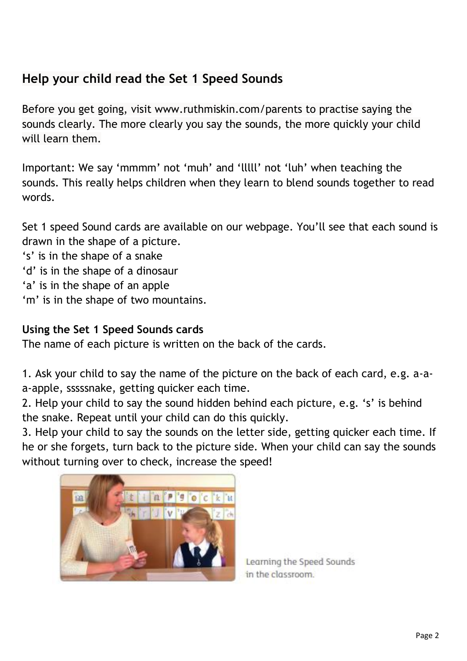### **Help your child read the Set 1 Speed Sounds**

Before you get going, visit www.ruthmiskin.com/parents to practise saying the sounds clearly. The more clearly you say the sounds, the more quickly your child will learn them.

Important: We say 'mmmm' not 'muh' and 'lllll' not 'luh' when teaching the sounds. This really helps children when they learn to blend sounds together to read words.

Set 1 speed Sound cards are available on our webpage. You'll see that each sound is drawn in the shape of a picture.

- 's' is in the shape of a snake
- 'd' is in the shape of a dinosaur
- 'a' is in the shape of an apple
- 'm' is in the shape of two mountains.

#### **Using the Set 1 Speed Sounds cards**

The name of each picture is written on the back of the cards.

1. Ask your child to say the name of the picture on the back of each card, e.g. a-aa-apple, sssssnake, getting quicker each time.

2. Help your child to say the sound hidden behind each picture, e.g. 's' is behind the snake. Repeat until your child can do this quickly.

3. Help your child to say the sounds on the letter side, getting quicker each time. If he or she forgets, turn back to the picture side. When your child can say the sounds without turning over to check, increase the speed!



Learning the Speed Sounds in the classroom.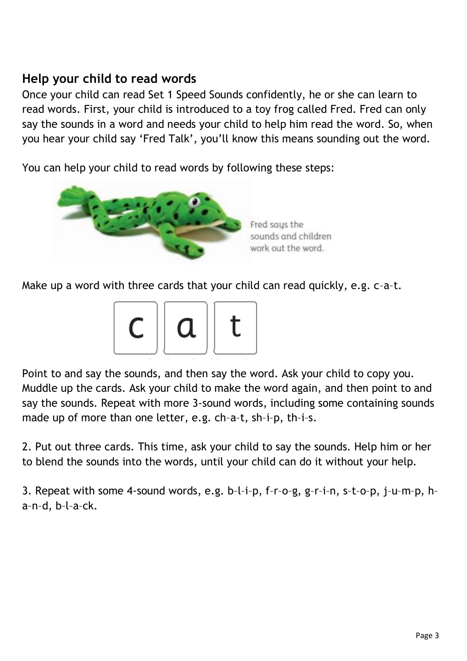#### **Help your child to read words**

Once your child can read Set 1 Speed Sounds confidently, he or she can learn to read words. First, your child is introduced to a toy frog called Fred. Fred can only say the sounds in a word and needs your child to help him read the word. So, when you hear your child say 'Fred Talk', you'll know this means sounding out the word.

You can help your child to read words by following these steps:



Make up a word with three cards that your child can read quickly, e.g. c–a–t.



Point to and say the sounds, and then say the word. Ask your child to copy you. Muddle up the cards. Ask your child to make the word again, and then point to and say the sounds. Repeat with more 3-sound words, including some containing sounds made up of more than one letter, e.g. ch–a–t, sh–i–p, th–i–s.

2. Put out three cards. This time, ask your child to say the sounds. Help him or her to blend the sounds into the words, until your child can do it without your help.

3. Repeat with some 4-sound words, e.g. b–l–i–p, f–r–o–g, g–r–i–n, s–t–o–p, j–u–m–p, h– a–n–d, b–l–a–ck.